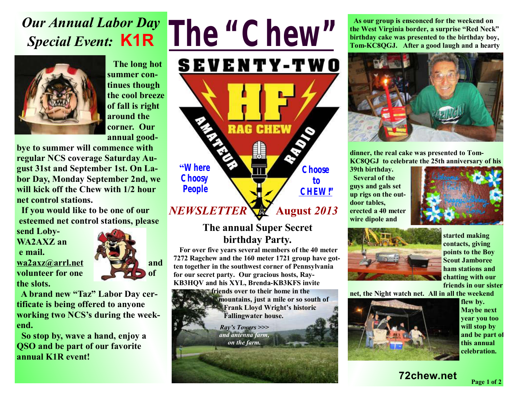# *Our Annual Labor Day Special Event:* **K1R**



 **The long hot summer continues though the cool breeze of fall is right around the corner. Our annual good-**

**bye to summer will commence with regular NCS coverage Saturday August 31st and September 1st. On Labor Day, Monday September 2nd, we will kick off the Chew with 1/2 hour net control stations.** 

 **If you would like to be one of our esteemed net control stations, please** 

**send Loby-WA2AXZ an e mail. volunteer** for one **the slots.** 



**A brand new "Taz" Labor Day certificate is being offered to anyone working two NCS's during the weekend.** 

 **So stop by, wave a hand, enjoy a QSO and be part of our favorite annual K1R event!** 

# *The "Chew"*



**The annual Super Secret birthday Party.** 

 **For over five years several members of the 40 meter 7272 Ragchew and the 160 meter 1721 group have gotten together in the southwest corner of Pennsylvania for our secret party. Our gracious hosts, Ray-KB3HQV and his XYL, Brenda-KB3KFS invite** 

> **friends over to their home in the mountains, just a mile or so south of Frank Lloyd Wright's historic Fallingwater house.**

> > *Ray's Towers >>> and antenna farm, on the farm.*

 **As our group is ensconced for the weekend on the West Virginia border, a surprise "Red Neck" birthday cake was presented to the birthday boy, Tom-KC8QGJ. After a good laugh and a hearty** 



**dinner, the real cake was presented to Tom-KC8QGJ to celebrate the 25th anniversary of his** 

**39th birthday. Several of the guys and gals set up rigs on the outdoor tables, erected a 40 meter wire dipole and** 





**started making contacts, giving points to the Boy Scout Jamboree ham stations and chatting with our friends in our sister** 

**net, the Night watch net. All in all the weekend** 



**flew by. Maybe next year you too will stop by and be part of this annual celebration.** 

### **72chew.net**

**Page 1 of 2**